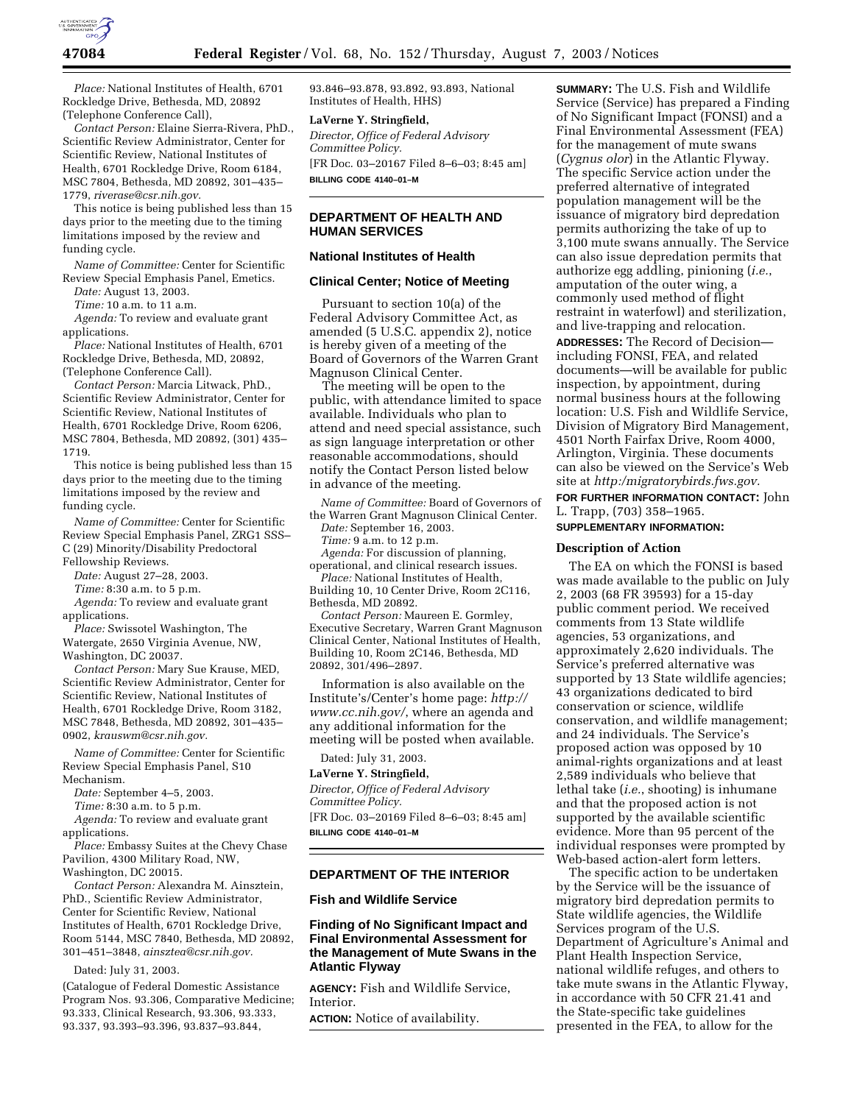

*Place:* National Institutes of Health, 6701 Rockledge Drive, Bethesda, MD, 20892 (Telephone Conference Call),

*Contact Person:* Elaine Sierra-Rivera, PhD., Scientific Review Administrator, Center for Scientific Review, National Institutes of Health, 6701 Rockledge Drive, Room 6184, MSC 7804, Bethesda, MD 20892, 301–435– 1779, *riverase@csr.nih.gov.*

This notice is being published less than 15 days prior to the meeting due to the timing limitations imposed by the review and funding cycle.

*Name of Committee:* Center for Scientific Review Special Emphasis Panel, Emetics.

*Date:* August 13, 2003.

*Time:* 10 a.m. to 11 a.m.

*Agenda:* To review and evaluate grant applications.

*Place:* National Institutes of Health, 6701 Rockledge Drive, Bethesda, MD, 20892, (Telephone Conference Call).

*Contact Person:* Marcia Litwack, PhD., Scientific Review Administrator, Center for Scientific Review, National Institutes of Health, 6701 Rockledge Drive, Room 6206, MSC 7804, Bethesda, MD 20892, (301) 435– 1719.

This notice is being published less than 15 days prior to the meeting due to the timing limitations imposed by the review and funding cycle.

*Name of Committee:* Center for Scientific Review Special Emphasis Panel, ZRG1 SSS– C (29) Minority/Disability Predoctoral Fellowship Reviews.

*Date:* August 27–28, 2003.

*Time:* 8:30 a.m. to 5 p.m.

*Agenda:* To review and evaluate grant applications.

*Place:* Swissotel Washington, The Watergate, 2650 Virginia Avenue, NW,

Washington, DC 20037.

*Contact Person:* Mary Sue Krause, MED, Scientific Review Administrator, Center for Scientific Review, National Institutes of Health, 6701 Rockledge Drive, Room 3182, MSC 7848, Bethesda, MD 20892, 301–435– 0902, *krauswm@csr.nih.gov.*

*Name of Committee:* Center for Scientific Review Special Emphasis Panel, S10 Mechanism.

*Date:* September 4–5, 2003.

*Time:* 8:30 a.m. to 5 p.m.

*Agenda:* To review and evaluate grant applications.

*Place:* Embassy Suites at the Chevy Chase Pavilion, 4300 Military Road, NW, Washington, DC 20015.

*Contact Person:* Alexandra M. Ainsztein, PhD., Scientific Review Administrator, Center for Scientific Review, National Institutes of Health, 6701 Rockledge Drive, Room 5144, MSC 7840, Bethesda, MD 20892, 301–451–3848, *ainsztea@csr.nih.gov.*

## Dated: July 31, 2003.

(Catalogue of Federal Domestic Assistance Program Nos. 93.306, Comparative Medicine; 93.333, Clinical Research, 93.306, 93.333, 93.337, 93.393–93.396, 93.837–93.844,

93.846–93.878, 93.892, 93.893, National Institutes of Health, HHS)

## **LaVerne Y. Stringfield,**

*Director, Office of Federal Advisory Committee Policy.* [FR Doc. 03–20167 Filed 8–6–03; 8:45 am] **BILLING CODE 4140–01–M**

# **DEPARTMENT OF HEALTH AND HUMAN SERVICES**

## **National Institutes of Health**

## **Clinical Center; Notice of Meeting**

Pursuant to section 10(a) of the Federal Advisory Committee Act, as amended (5 U.S.C. appendix 2), notice is hereby given of a meeting of the Board of Governors of the Warren Grant Magnuson Clinical Center.

The meeting will be open to the public, with attendance limited to space available. Individuals who plan to attend and need special assistance, such as sign language interpretation or other reasonable accommodations, should notify the Contact Person listed below in advance of the meeting.

*Name of Committee:* Board of Governors of the Warren Grant Magnuson Clinical Center.

*Date:* September 16, 2003. *Time:* 9 a.m. to 12 p.m.

*Agenda:* For discussion of planning, operational, and clinical research issues. *Place:* National Institutes of Health,

Building 10, 10 Center Drive, Room 2C116, Bethesda, MD 20892.

*Contact Person:* Maureen E. Gormley, Executive Secretary, Warren Grant Magnuson Clinical Center, National Institutes of Health, Building 10, Room 2C146, Bethesda, MD 20892, 301/496–2897.

Information is also available on the Institute's/Center's home page: *http:// www.cc.nih.gov/*, where an agenda and any additional information for the meeting will be posted when available.

Dated: July 31, 2003.

**LaVerne Y. Stringfield,**  *Director, Office of Federal Advisory Committee Policy.* [FR Doc. 03–20169 Filed 8–6–03; 8:45 am] **BILLING CODE 4140–01–M**

### **DEPARTMENT OF THE INTERIOR**

## **Fish and Wildlife Service**

# **Finding of No Significant Impact and Final Environmental Assessment for the Management of Mute Swans in the Atlantic Flyway**

**AGENCY:** Fish and Wildlife Service, Interior.

**ACTION:** Notice of availability.

**SUMMARY:** The U.S. Fish and Wildlife Service (Service) has prepared a Finding of No Significant Impact (FONSI) and a Final Environmental Assessment (FEA) for the management of mute swans (*Cygnus olor*) in the Atlantic Flyway. The specific Service action under the preferred alternative of integrated population management will be the issuance of migratory bird depredation permits authorizing the take of up to 3,100 mute swans annually. The Service can also issue depredation permits that authorize egg addling, pinioning (*i.e.*, amputation of the outer wing, a commonly used method of flight restraint in waterfowl) and sterilization, and live-trapping and relocation. **ADDRESSES:** The Record of Decision including FONSI, FEA, and related documents—will be available for public inspection, by appointment, during normal business hours at the following location: U.S. Fish and Wildlife Service, Division of Migratory Bird Management, 4501 North Fairfax Drive, Room 4000, Arlington, Virginia. These documents can also be viewed on the Service's Web site at *http:/migratorybirds.fws.gov.*

**FOR FURTHER INFORMATION CONTACT:** John L. Trapp, (703) 358–1965.

# **SUPPLEMENTARY INFORMATION:**

### **Description of Action**

The EA on which the FONSI is based was made available to the public on July 2, 2003 (68 FR 39593) for a 15-day public comment period. We received comments from 13 State wildlife agencies, 53 organizations, and approximately 2,620 individuals. The Service's preferred alternative was supported by 13 State wildlife agencies; 43 organizations dedicated to bird conservation or science, wildlife conservation, and wildlife management; and 24 individuals. The Service's proposed action was opposed by 10 animal-rights organizations and at least 2,589 individuals who believe that lethal take (*i.e.*, shooting) is inhumane and that the proposed action is not supported by the available scientific evidence. More than 95 percent of the individual responses were prompted by Web-based action-alert form letters.

The specific action to be undertaken by the Service will be the issuance of migratory bird depredation permits to State wildlife agencies, the Wildlife Services program of the U.S. Department of Agriculture's Animal and Plant Health Inspection Service, national wildlife refuges, and others to take mute swans in the Atlantic Flyway, in accordance with 50 CFR 21.41 and the State-specific take guidelines presented in the FEA, to allow for the